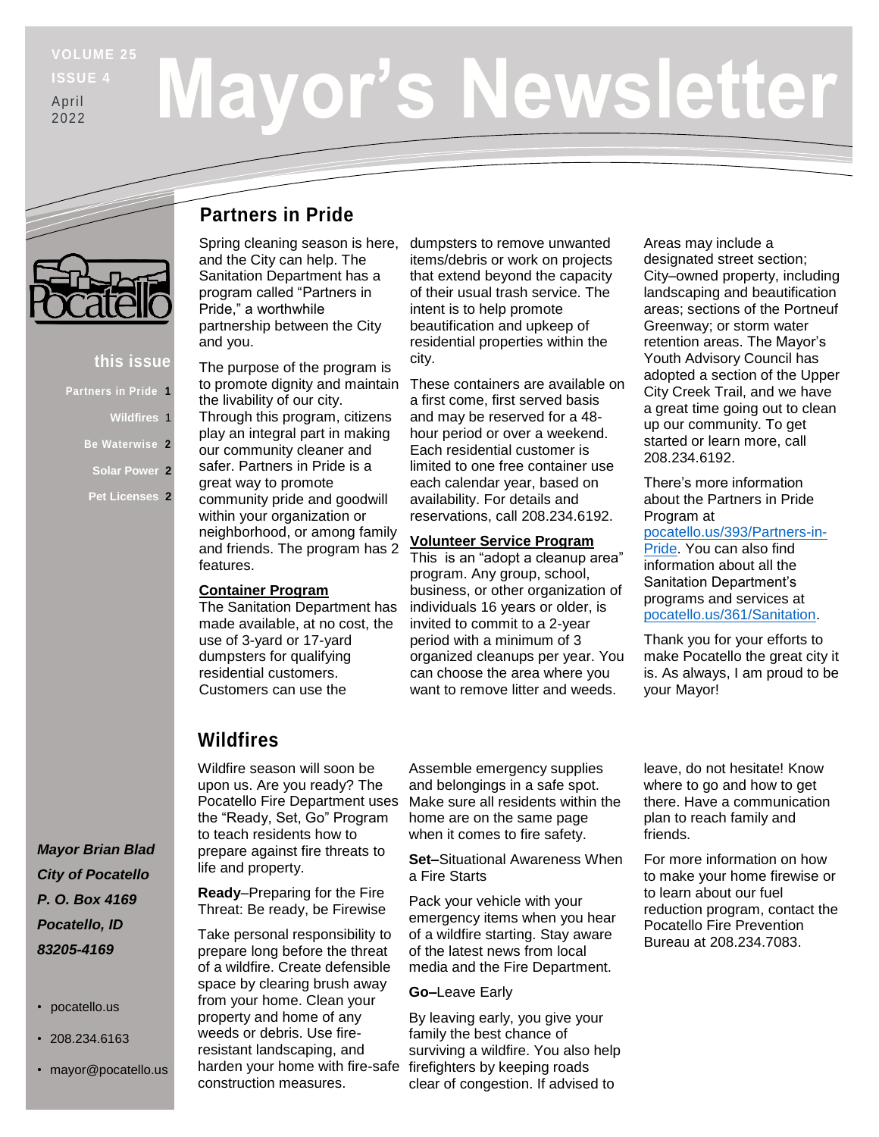**ISSUE 4** April

# 2022

# **Mayor's Newsletter**

#### **this issue**

- **Partners in Pride 1**
	- **Wildfires** 1
	- **Be Waterwise 2**
	- **Solar Power 2**
	- **Pet Licenses 2**

#### **Partners in Pride**

Spring cleaning season is here, and the City can help. The Sanitation Department has a program called "Partners in Pride," a worthwhile partnership between the City and you.

The purpose of the program is to promote dignity and maintain the livability of our city. Through this program, citizens play an integral part in making our community cleaner and safer. Partners in Pride is a great way to promote community pride and goodwill within your organization or neighborhood, or among family and friends. The program has 2 features.

#### **Container Program**

The Sanitation Department has made available, at no cost, the use of 3-yard or 17-yard dumpsters for qualifying residential customers. Customers can use the

dumpsters to remove unwanted items/debris or work on projects that extend beyond the capacity of their usual trash service. The intent is to help promote beautification and upkeep of residential properties within the city.

These containers are available on a first come, first served basis and may be reserved for a 48 hour period or over a weekend. Each residential customer is limited to one free container use each calendar year, based on availability. For details and reservations, call 208.234.6192.

#### **Volunteer Service Program**

This is an "adopt a cleanup area" program. Any group, school, business, or other organization of individuals 16 years or older, is invited to commit to a 2-year period with a minimum of 3 organized cleanups per year. You can choose the area where you want to remove litter and weeds.

Areas may include a designated street section; City–owned property, including landscaping and beautification areas; sections of the Portneuf Greenway; or storm water retention areas. The Mayor's Youth Advisory Council has adopted a section of the Upper City Creek Trail, and we have a great time going out to clean up our community. To get started or learn more, call 208.234.6192.

There's more information about the Partners in Pride Program at [pocatello.us/393/Partners-in-](https://www.pocatello.us/393/Partners-in-Pride)[Pride.](https://www.pocatello.us/393/Partners-in-Pride) You can also find information about all the Sanitation Department's programs and services at [pocatello.us/361/Sanitation.](https://www.pocatello.us/361/Sanitation)

Thank you for your efforts to make Pocatello the great city it is. As always, I am proud to be your Mayor!

## **Wildfires**

Wildfire season will soon be upon us. Are you ready? The Pocatello Fire Department uses the "Ready, Set, Go" Program to teach residents how to prepare against fire threats to life and property.

**Ready**–Preparing for the Fire Threat: Be ready, be Firewise

Take personal responsibility to prepare long before the threat of a wildfire. Create defensible space by clearing brush away from your home. Clean your property and home of any weeds or debris. Use fireresistant landscaping, and harden your home with fire-safe construction measures.

Assemble emergency supplies and belongings in a safe spot. Make sure all residents within the home are on the same page when it comes to fire safety.

**Set–**Situational Awareness When a Fire Starts

Pack your vehicle with your emergency items when you hear of a wildfire starting. Stay aware of the latest news from local media and the Fire Department.

#### **Go–**Leave Early

By leaving early, you give your family the best chance of surviving a wildfire. You also help firefighters by keeping roads clear of congestion. If advised to

leave, do not hesitate! Know where to go and how to get there. Have a communication plan to reach family and friends.

For more information on how to make your home firewise or to learn about our fuel reduction program, contact the Pocatello Fire Prevention Bureau at 208.234.7083.

*Mayor Brian Blad City of Pocatello P. O. Box 4169 Pocatello, ID 83205-4169*

- pocatello.us
- 208.234.6163
- mayor@pocatello.us